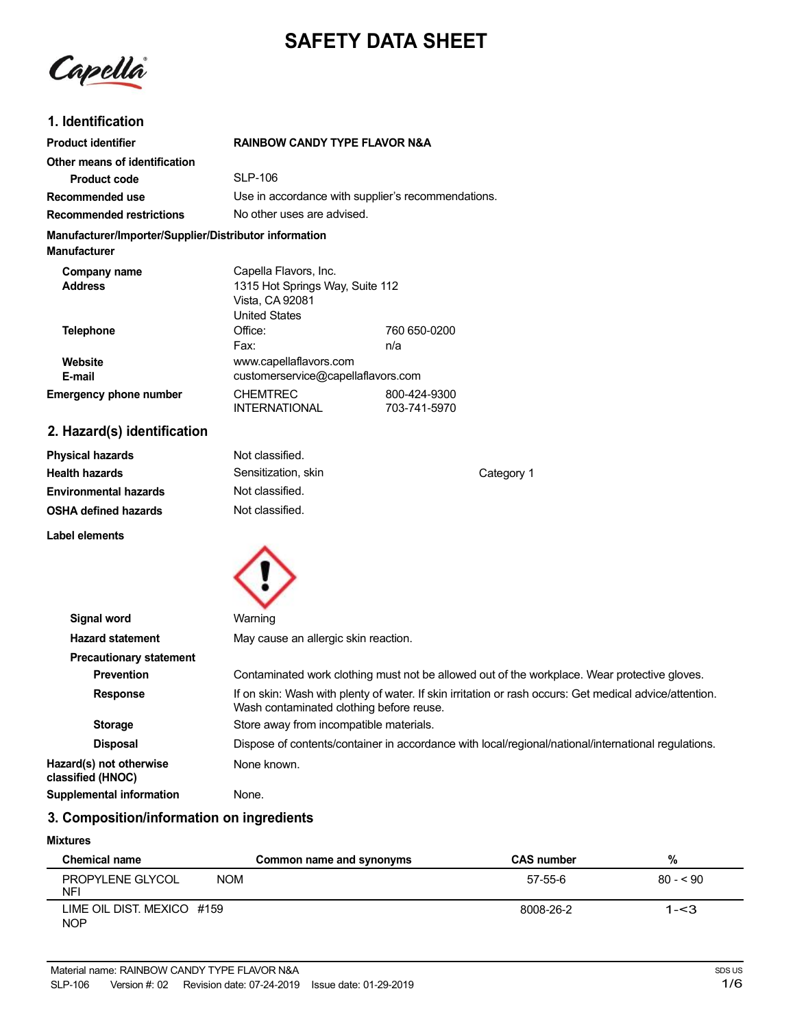# **SAFETY DATA SHEET**

Capella

# **1. Identification**

| <b>Product identifier</b>                                                     | <b>RAINBOW CANDY TYPE FLAVOR N&amp;A</b>                                                            |                              |
|-------------------------------------------------------------------------------|-----------------------------------------------------------------------------------------------------|------------------------------|
| Other means of identification                                                 |                                                                                                     |                              |
| <b>Product code</b>                                                           | <b>SLP-106</b>                                                                                      |                              |
| Recommended use                                                               | Use in accordance with supplier's recommendations.                                                  |                              |
| <b>Recommended restrictions</b>                                               | No other uses are advised.                                                                          |                              |
| Manufacturer/Importer/Supplier/Distributor information<br><b>Manufacturer</b> |                                                                                                     |                              |
| Company name<br><b>Address</b>                                                | Capella Flavors, Inc.<br>1315 Hot Springs Way, Suite 112<br>Vista, CA 92081<br><b>United States</b> |                              |
| <b>Telephone</b>                                                              | Office:<br>Fax:                                                                                     | 760 650-0200<br>n/a          |
| Website<br>E-mail                                                             | www.capellaflavors.com<br>customerservice@capellaflavors.com                                        |                              |
| <b>Emergency phone number</b>                                                 | <b>CHEMTREC</b><br><b>INTERNATIONAL</b>                                                             | 800-424-9300<br>703-741-5970 |
| 2. Hazard(s) identification                                                   |                                                                                                     |                              |

| <b>Physical hazards</b>      | Not classified.     |            |
|------------------------------|---------------------|------------|
| <b>Health hazards</b>        | Sensitization, skin | Category 1 |
| <b>Environmental hazards</b> | Not classified.     |            |
| <b>OSHA defined hazards</b>  | Not classified.     |            |
| Label elements               |                     |            |



| Signal word                                  | Warning                                                                                                                                             |
|----------------------------------------------|-----------------------------------------------------------------------------------------------------------------------------------------------------|
| <b>Hazard statement</b>                      | May cause an allergic skin reaction.                                                                                                                |
| <b>Precautionary statement</b>               |                                                                                                                                                     |
| <b>Prevention</b>                            | Contaminated work clothing must not be allowed out of the workplace. Wear protective gloves.                                                        |
| <b>Response</b>                              | If on skin: Wash with plenty of water. If skin irritation or rash occurs: Get medical advice/attention.<br>Wash contaminated clothing before reuse. |
| <b>Storage</b>                               | Store away from incompatible materials.                                                                                                             |
| <b>Disposal</b>                              | Dispose of contents/container in accordance with local/regional/national/international regulations.                                                 |
| Hazard(s) not otherwise<br>classified (HNOC) | None known.                                                                                                                                         |
| <b>Supplemental information</b>              | None.                                                                                                                                               |

# **3. Composition/information on ingredients**

#### **Mixtures**

| <b>Chemical name</b>                     | Common name and synonyms | <b>CAS number</b> | %         |
|------------------------------------------|--------------------------|-------------------|-----------|
| PROPYLENE GLYCOL<br>NFI                  | <b>NOM</b>               | 57-55-6           | $80 - 90$ |
| LIME OIL DIST. MEXICO #159<br><b>NOP</b> |                          | 8008-26-2         | $1 - 3$   |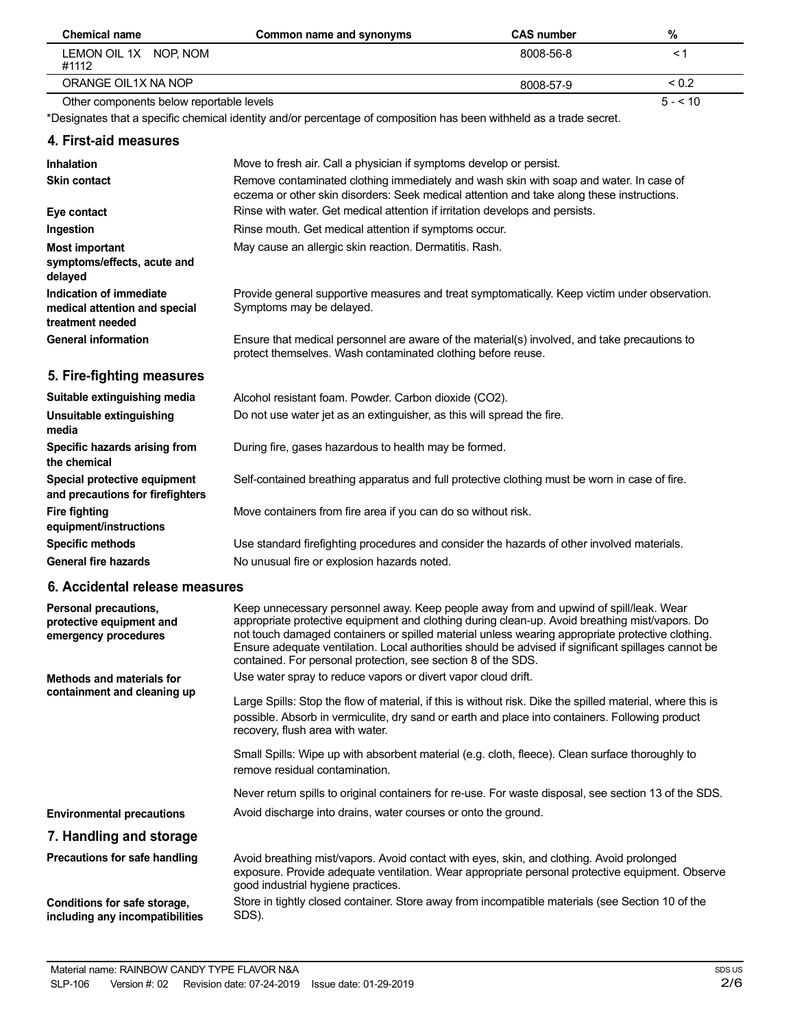| Chemical name                            | Common name and synonyms | <b>CAS number</b> | %            |
|------------------------------------------|--------------------------|-------------------|--------------|
| LEMON OIL 1X NOP. NOM<br>#1112           |                          | 8008-56-8         |              |
| ORANGE OIL1X NA NOP                      |                          | 8008-57-9         | ${}^{< 0.2}$ |
| Other components below reportable levels |                          |                   | $5 - 10$     |

\*Designates that a specific chemical identity and/or percentage of composition has been withheld as a trade secret.

#### **4. First-aid measures**

| Inhalation<br><b>Skin contact</b>                                            | Move to fresh air. Call a physician if symptoms develop or persist.<br>Remove contaminated clothing immediately and wash skin with soap and water. In case of |
|------------------------------------------------------------------------------|---------------------------------------------------------------------------------------------------------------------------------------------------------------|
|                                                                              | eczema or other skin disorders: Seek medical attention and take along these instructions.                                                                     |
| Eye contact                                                                  | Rinse with water. Get medical attention if irritation develops and persists.                                                                                  |
| Ingestion                                                                    | Rinse mouth. Get medical attention if symptoms occur.                                                                                                         |
| <b>Most important</b><br>symptoms/effects, acute and<br>delayed              | May cause an allergic skin reaction. Dermatitis. Rash.                                                                                                        |
| Indication of immediate<br>medical attention and special<br>treatment needed | Provide general supportive measures and treat symptomatically. Keep victim under observation.<br>Symptoms may be delayed.                                     |
| <b>General information</b>                                                   | Ensure that medical personnel are aware of the material(s) involved, and take precautions to<br>protect themselves. Wash contaminated clothing before reuse.  |
| 5. Fire-fighting measures                                                    |                                                                                                                                                               |
| Suitable extinguishing media                                                 | Alcohol resistant foam. Powder. Carbon dioxide (CO2).                                                                                                         |
| Unsuitable extinguishing<br>media                                            | Do not use water jet as an extinguisher, as this will spread the fire.                                                                                        |

During fire, gases hazardous to health may be formed.

Self-contained breathing apparatus and full protective clothing must be worn in case of fire.

Move containers from fire area if you can do so without risk.

Use standard firefighting procedures and consider the hazards of other involved materials. No unusual fire or explosion hazards noted.

#### **6. Accidental release measures**

**Specific hazards arising from**

**Special protective equipment and precautions for firefighters**

**equipment/instructions Specific methods General fire hazards**

**the chemical**

**Fire fighting**

| Personal precautions,<br>protective equipment and<br>emergency procedures | Keep unnecessary personnel away. Keep people away from and upwind of spill/leak. Wear<br>appropriate protective equipment and clothing during clean-up. Avoid breathing mist/vapors. Do<br>not touch damaged containers or spilled material unless wearing appropriate protective clothing.<br>Ensure adequate ventilation. Local authorities should be advised if significant spillages cannot be<br>contained. For personal protection, see section 8 of the SDS. |
|---------------------------------------------------------------------------|---------------------------------------------------------------------------------------------------------------------------------------------------------------------------------------------------------------------------------------------------------------------------------------------------------------------------------------------------------------------------------------------------------------------------------------------------------------------|
| Methods and materials for                                                 | Use water spray to reduce vapors or divert vapor cloud drift.                                                                                                                                                                                                                                                                                                                                                                                                       |
| containment and cleaning up                                               | Large Spills: Stop the flow of material, if this is without risk. Dike the spilled material, where this is<br>possible. Absorb in vermiculite, dry sand or earth and place into containers. Following product<br>recovery, flush area with water.                                                                                                                                                                                                                   |
|                                                                           | Small Spills: Wipe up with absorbent material (e.g. cloth, fleece). Clean surface thoroughly to<br>remove residual contamination.                                                                                                                                                                                                                                                                                                                                   |
|                                                                           | Never return spills to original containers for re-use. For waste disposal, see section 13 of the SDS.                                                                                                                                                                                                                                                                                                                                                               |
| <b>Environmental precautions</b>                                          | Avoid discharge into drains, water courses or onto the ground.                                                                                                                                                                                                                                                                                                                                                                                                      |
| 7. Handling and storage                                                   |                                                                                                                                                                                                                                                                                                                                                                                                                                                                     |
| Precautions for safe handling                                             | Avoid breathing mist/vapors. Avoid contact with eyes, skin, and clothing. Avoid prolonged<br>exposure. Provide adequate ventilation. Wear appropriate personal protective equipment. Observe<br>good industrial hygiene practices.                                                                                                                                                                                                                                  |
| Conditions for safe storage,<br>including any incompatibilities           | Store in tightly closed container. Store away from incompatible materials (see Section 10 of the<br>SDS).                                                                                                                                                                                                                                                                                                                                                           |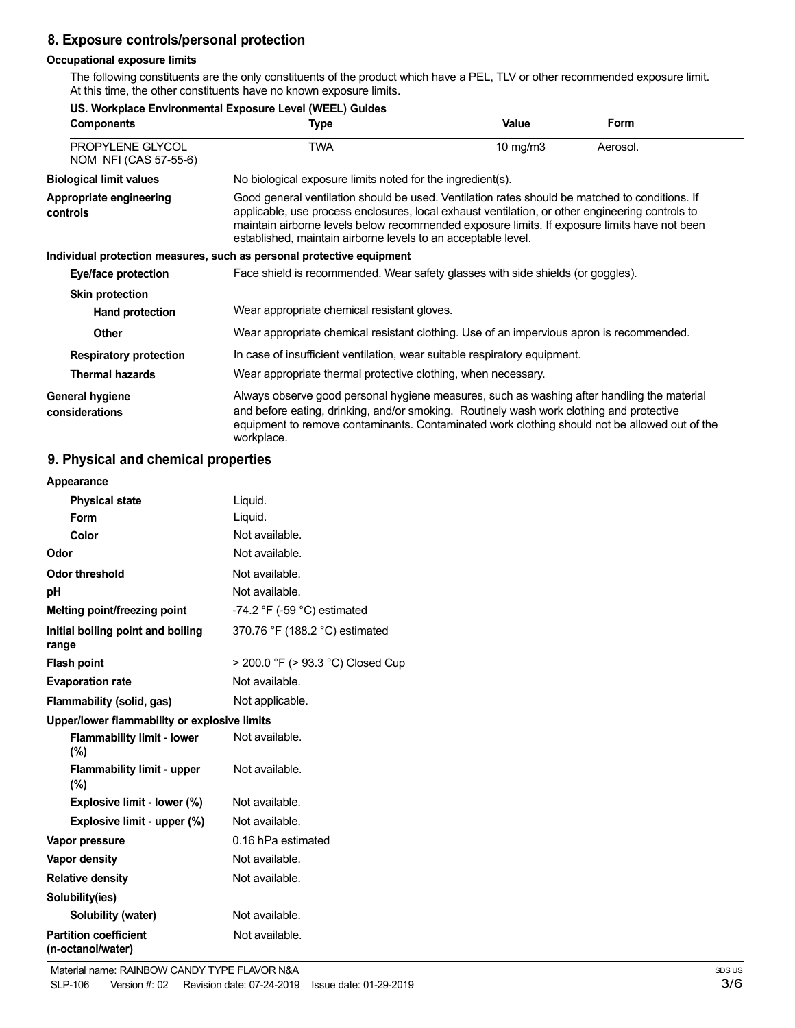# **8. Exposure controls/personal protection**

#### **Occupational exposure limits**

The following constituents are the only constituents of the product which have a PEL, TLV or other recommended exposure limit. At this time, the other constituents have no known exposure limits.

| US. Workplace Environmental Exposure Level (WEEL) Guides |                                                                                                                                                                                                                                                                                                                                                                    |            |          |
|----------------------------------------------------------|--------------------------------------------------------------------------------------------------------------------------------------------------------------------------------------------------------------------------------------------------------------------------------------------------------------------------------------------------------------------|------------|----------|
| <b>Components</b>                                        | Type                                                                                                                                                                                                                                                                                                                                                               | Value      | Form     |
| PROPYLENE GLYCOL<br>NOM NFI (CAS 57-55-6)                | TWA                                                                                                                                                                                                                                                                                                                                                                | 10 $mg/m3$ | Aerosol. |
| <b>Biological limit values</b>                           | No biological exposure limits noted for the ingredient(s).                                                                                                                                                                                                                                                                                                         |            |          |
| Appropriate engineering<br>controls                      | Good general ventilation should be used. Ventilation rates should be matched to conditions. If<br>applicable, use process enclosures, local exhaust ventilation, or other engineering controls to<br>maintain airborne levels below recommended exposure limits. If exposure limits have not been<br>established, maintain airborne levels to an acceptable level. |            |          |
|                                                          | Individual protection measures, such as personal protective equipment                                                                                                                                                                                                                                                                                              |            |          |
| Eye/face protection                                      | Face shield is recommended. Wear safety glasses with side shields (or goggles).                                                                                                                                                                                                                                                                                    |            |          |
| <b>Skin protection</b>                                   |                                                                                                                                                                                                                                                                                                                                                                    |            |          |
| Hand protection                                          | Wear appropriate chemical resistant gloves.                                                                                                                                                                                                                                                                                                                        |            |          |
| <b>Other</b>                                             | Wear appropriate chemical resistant clothing. Use of an impervious apron is recommended.                                                                                                                                                                                                                                                                           |            |          |
| <b>Respiratory protection</b>                            | In case of insufficient ventilation, wear suitable respiratory equipment.                                                                                                                                                                                                                                                                                          |            |          |
| <b>Thermal hazards</b>                                   | Wear appropriate thermal protective clothing, when necessary.                                                                                                                                                                                                                                                                                                      |            |          |
| General hygiene<br>considerations                        | Always observe good personal hygiene measures, such as washing after handling the material<br>and before eating, drinking, and/or smoking. Routinely wash work clothing and protective<br>equipment to remove contaminants. Contaminated work clothing should not be allowed out of the<br>workplace.                                                              |            |          |

# **9. Physical and chemical properties**

| Appearance                                        |                                               |
|---------------------------------------------------|-----------------------------------------------|
| <b>Physical state</b>                             | Liquid.                                       |
| Form                                              | Liquid.                                       |
| Color                                             | Not available.                                |
| Odor                                              | Not available.                                |
| <b>Odor threshold</b>                             | Not available.                                |
| рH                                                | Not available.                                |
| Melting point/freezing point                      | -74.2 $\degree$ F (-59 $\degree$ C) estimated |
| Initial boiling point and boiling<br>range        | 370.76 °F (188.2 °C) estimated                |
| <b>Flash point</b>                                | > 200.0 °F (> 93.3 °C) Closed Cup             |
| <b>Evaporation rate</b>                           | Not available.                                |
| Flammability (solid, gas)                         | Not applicable.                               |
| Upper/lower flammability or explosive limits      |                                               |
| <b>Flammability limit - lower</b><br>(%)          | Not available.                                |
| <b>Flammability limit - upper</b><br>$(\% )$      | Not available.                                |
| Explosive limit - lower (%)                       | Not available.                                |
| Explosive limit - upper (%)                       | Not available.                                |
| Vapor pressure                                    | 0.16 hPa estimated                            |
| Vapor density                                     | Not available.                                |
| <b>Relative density</b>                           | Not available.                                |
| Solubility(ies)                                   |                                               |
| Solubility (water)                                | Not available.                                |
| <b>Partition coefficient</b><br>(n-octanol/water) | Not available.                                |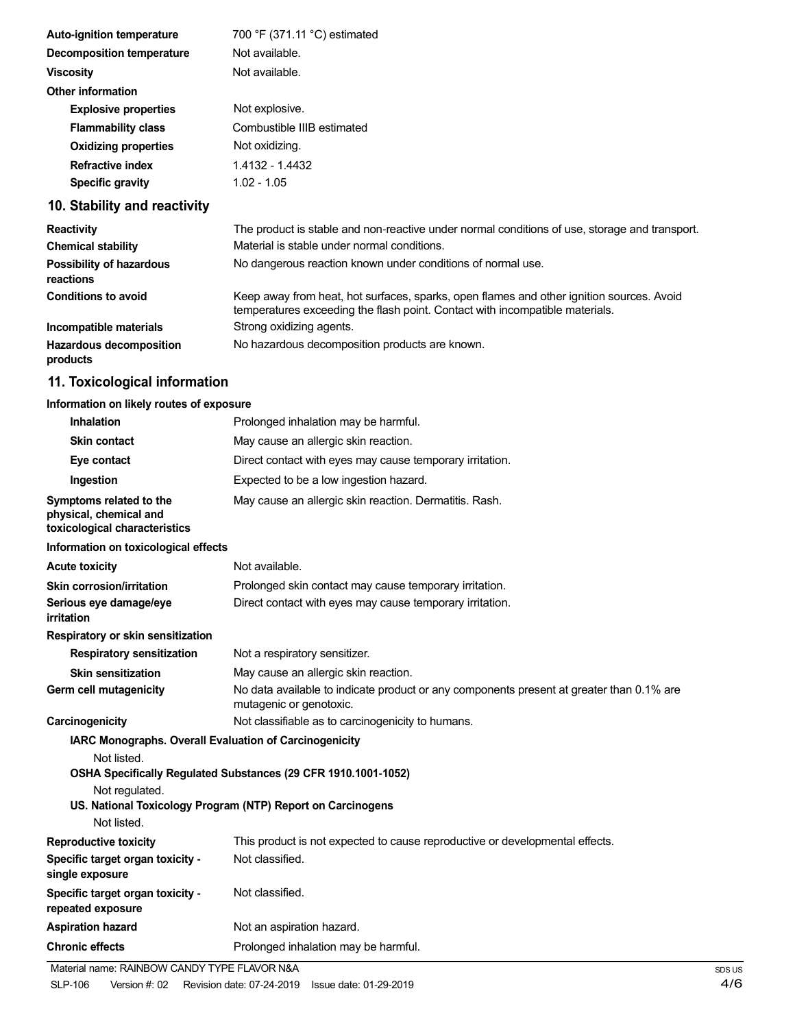| <b>Auto-ignition temperature</b> |                                                                                                                                                                                                                                                                                                                                                                    | 700 °F (371.11 °C) estimated |
|----------------------------------|--------------------------------------------------------------------------------------------------------------------------------------------------------------------------------------------------------------------------------------------------------------------------------------------------------------------------------------------------------------------|------------------------------|
| <b>Decomposition temperature</b> |                                                                                                                                                                                                                                                                                                                                                                    | Not available.               |
| <b>Viscosity</b>                 |                                                                                                                                                                                                                                                                                                                                                                    | Not available.               |
| <b>Other information</b>         |                                                                                                                                                                                                                                                                                                                                                                    |                              |
| <b>Explosive properties</b>      |                                                                                                                                                                                                                                                                                                                                                                    | Not explosive.               |
| <b>Flammability class</b>        |                                                                                                                                                                                                                                                                                                                                                                    | Combustible IIIB estimated   |
| <b>Oxidizing properties</b>      |                                                                                                                                                                                                                                                                                                                                                                    | Not oxidizing.               |
| <b>Refractive index</b>          |                                                                                                                                                                                                                                                                                                                                                                    | 1.4132 - 1.4432              |
| <b>Specific gravity</b>          |                                                                                                                                                                                                                                                                                                                                                                    | $1.02 - 1.05$                |
|                                  | $\overline{10}$ $\overline{0}$ $\overline{10}$ $\overline{10}$ $\overline{10}$ $\overline{10}$ $\overline{10}$ $\overline{10}$ $\overline{10}$ $\overline{10}$ $\overline{10}$ $\overline{10}$ $\overline{10}$ $\overline{10}$ $\overline{10}$ $\overline{10}$ $\overline{10}$ $\overline{10}$ $\overline{10}$ $\overline{10}$ $\overline{10}$ $\overline{10}$ $\$ |                              |

# **10. Stability and reactivity**

| <b>Reactivity</b>                            | The product is stable and non-reactive under normal conditions of use, storage and transport.                                                                            |
|----------------------------------------------|--------------------------------------------------------------------------------------------------------------------------------------------------------------------------|
| <b>Chemical stability</b>                    | Material is stable under normal conditions.                                                                                                                              |
| <b>Possibility of hazardous</b><br>reactions | No dangerous reaction known under conditions of normal use.                                                                                                              |
| <b>Conditions to avoid</b>                   | Keep away from heat, hot surfaces, sparks, open flames and other ignition sources. Avoid<br>temperatures exceeding the flash point. Contact with incompatible materials. |
| Incompatible materials                       | Strong oxidizing agents.                                                                                                                                                 |
| <b>Hazardous decomposition</b><br>products   | No hazardous decomposition products are known.                                                                                                                           |

# **11. Toxicological information**

# **Information on likely routes of exposure**

| Inhalation                                                                         | Prolonged inhalation may be harmful.                                                                                |
|------------------------------------------------------------------------------------|---------------------------------------------------------------------------------------------------------------------|
| <b>Skin contact</b>                                                                | May cause an allergic skin reaction.                                                                                |
| Eye contact                                                                        | Direct contact with eyes may cause temporary irritation.                                                            |
| Ingestion                                                                          | Expected to be a low ingestion hazard.                                                                              |
| Symptoms related to the<br>physical, chemical and<br>toxicological characteristics | May cause an allergic skin reaction. Dermatitis. Rash.                                                              |
| Information on toxicological effects                                               |                                                                                                                     |
| <b>Acute toxicity</b>                                                              | Not available.                                                                                                      |
| <b>Skin corrosion/irritation</b>                                                   | Prolonged skin contact may cause temporary irritation.                                                              |
| Serious eye damage/eye<br><i>irritation</i>                                        | Direct contact with eyes may cause temporary irritation.                                                            |
| Respiratory or skin sensitization                                                  |                                                                                                                     |
| <b>Respiratory sensitization</b>                                                   | Not a respiratory sensitizer.                                                                                       |
| <b>Skin sensitization</b>                                                          | May cause an allergic skin reaction.                                                                                |
| Germ cell mutagenicity                                                             | No data available to indicate product or any components present at greater than 0.1% are<br>mutagenic or genotoxic. |
| Carcinogenicity                                                                    | Not classifiable as to carcinogenicity to humans.                                                                   |
| IARC Monographs. Overall Evaluation of Carcinogenicity                             |                                                                                                                     |
| Not listed.                                                                        |                                                                                                                     |
|                                                                                    | OSHA Specifically Regulated Substances (29 CFR 1910.1001-1052)                                                      |
| Not regulated.                                                                     | US. National Toxicology Program (NTP) Report on Carcinogens                                                         |
| Not listed.                                                                        |                                                                                                                     |
| <b>Reproductive toxicity</b>                                                       | This product is not expected to cause reproductive or developmental effects.                                        |
| Specific target organ toxicity -<br>single exposure                                | Not classified.                                                                                                     |
| Specific target organ toxicity -<br>repeated exposure                              | Not classified.                                                                                                     |
| <b>Aspiration hazard</b>                                                           | Not an aspiration hazard.                                                                                           |
| <b>Chronic effects</b>                                                             | Prolonged inhalation may be harmful.                                                                                |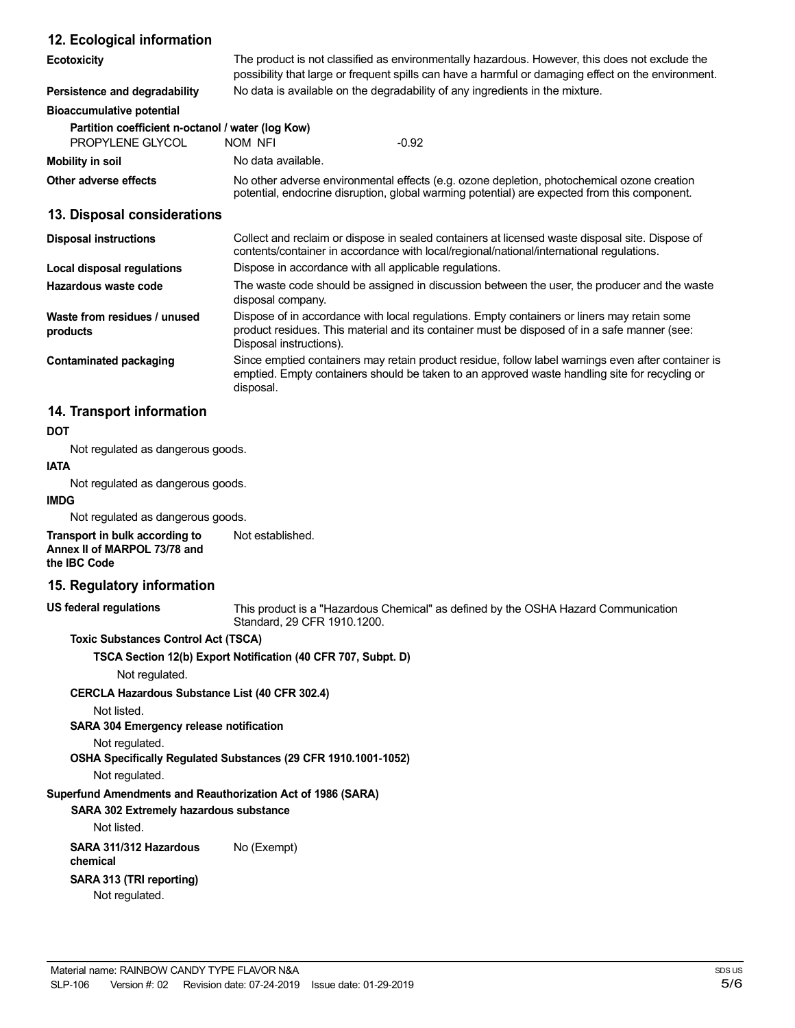### **12. Ecological information**

| <b>Ecotoxicity</b>                                                    |                                                                                                                                                                                                                        | The product is not classified as environmentally hazardous. However, this does not exclude the<br>possibility that large or frequent spills can have a harmful or damaging effect on the environment. |  |
|-----------------------------------------------------------------------|------------------------------------------------------------------------------------------------------------------------------------------------------------------------------------------------------------------------|-------------------------------------------------------------------------------------------------------------------------------------------------------------------------------------------------------|--|
| Persistence and degradability                                         | No data is available on the degradability of any ingredients in the mixture.                                                                                                                                           |                                                                                                                                                                                                       |  |
| <b>Bioaccumulative potential</b>                                      |                                                                                                                                                                                                                        |                                                                                                                                                                                                       |  |
| Partition coefficient n-octanol / water (log Kow)<br>PROPYLENE GLYCOL | NOM NFI                                                                                                                                                                                                                | $-0.92$                                                                                                                                                                                               |  |
| <b>Mobility in soil</b>                                               | No data available.                                                                                                                                                                                                     |                                                                                                                                                                                                       |  |
| Other adverse effects                                                 | No other adverse environmental effects (e.g. ozone depletion, photochemical ozone creation<br>potential, endocrine disruption, global warming potential) are expected from this component.                             |                                                                                                                                                                                                       |  |
| 13. Disposal considerations                                           |                                                                                                                                                                                                                        |                                                                                                                                                                                                       |  |
| <b>Disposal instructions</b>                                          | Collect and reclaim or dispose in sealed containers at licensed waste disposal site. Dispose of<br>contents/container in accordance with local/regional/national/international regulations.                            |                                                                                                                                                                                                       |  |
| Local disposal regulations                                            | Dispose in accordance with all applicable regulations.                                                                                                                                                                 |                                                                                                                                                                                                       |  |
| Hazardous waste code                                                  | disposal company.                                                                                                                                                                                                      | The waste code should be assigned in discussion between the user, the producer and the waste                                                                                                          |  |
| Waste from residues / unused<br>products                              | Dispose of in accordance with local regulations. Empty containers or liners may retain some<br>product residues. This material and its container must be disposed of in a safe manner (see:<br>Disposal instructions). |                                                                                                                                                                                                       |  |
| <b>Contaminated packaging</b>                                         | disposal.                                                                                                                                                                                                              | Since emptied containers may retain product residue, follow label warnings even after container is<br>emptied. Empty containers should be taken to an approved waste handling site for recycling or   |  |
| 14. Transport information                                             |                                                                                                                                                                                                                        |                                                                                                                                                                                                       |  |
| <b>DOT</b>                                                            |                                                                                                                                                                                                                        |                                                                                                                                                                                                       |  |

#### **DOT**

Not regulated as dangerous goods.

# **IATA**

Not regulated as dangerous goods.

#### **IMDG**

Not regulated as dangerous goods.

**Transport in bulk according to Annex II of MARPOL 73/78 and the IBC Code** Not established.

#### **15. Regulatory information**

**US federal regulations**

This product is a "Hazardous Chemical" as defined by the OSHA Hazard Communication Standard, 29 CFR 1910.1200.

**Toxic Substances Control Act (TSCA)**

**TSCA Section 12(b) Export Notification (40 CFR 707, Subpt. D)**

Not regulated.

**CERCLA Hazardous Substance List (40 CFR 302.4)**

Not listed.

**SARA 304 Emergency release notification**

Not regulated.

**OSHA Specifically Regulated Substances (29 CFR 1910.1001-1052)**

Not regulated.

### **Superfund Amendments and Reauthorization Act of 1986 (SARA)**

**SARA 302 Extremely hazardous substance** Not listed.

**SARA 311/312 Hazardous** No (Exempt)

**chemical**

**SARA 313 (TRI reporting)** Not regulated.